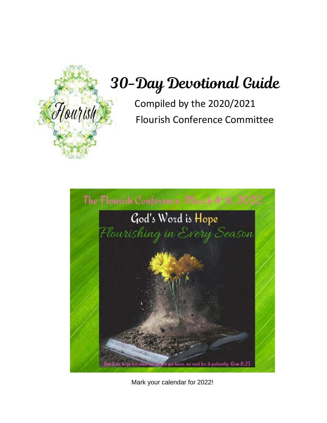

# 30-Day Devotional Guide

Compiled by the 2020/2021 Flourish Conference Committee



Mark your calendar for 2022!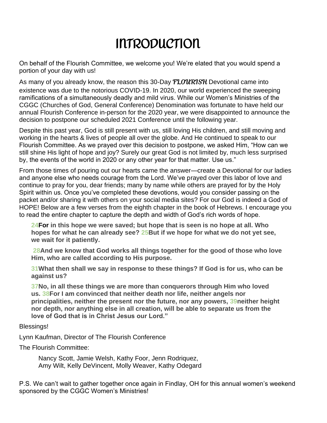## INTRODUCTION

On behalf of the Flourish Committee, we welcome you! We're elated that you would spend a portion of your day with us!

As many of you already know, the reason this 30-Day  $FLOURISH$  Devotional came into existence was due to the notorious COVID-19. In 2020, our world experienced the sweeping ramifications of a simultaneously deadly and mild virus. While our Women's Ministries of the CGGC (Churches of God, General Conference) Denomination was fortunate to have held our annual Flourish Conference in-person for the 2020 year, we were disappointed to announce the decision to postpone our scheduled 2021 Conference until the following year.

Despite this past year, God is still present with us, still loving His children, and still moving and working in the hearts & lives of people all over the globe. And He continued to speak to our Flourish Committee. As we prayed over this decision to postpone, we asked Him, "How can we still shine His light of hope and joy? Surely our great God is not limited by, much less surprised by, the events of the world in 2020 or any other year for that matter. Use us."

From those times of pouring out our hearts came the answer—create a Devotional for our ladies and anyone else who needs courage from the Lord. We've prayed over this labor of love and continue to pray for you, dear friends; many by name while others are prayed for by the Holy Spirit within us. Once you've completed these devotions, would you consider passing on the packet and/or sharing it with others on your social media sites? For our God is indeed a God of HOPE! Below are a few verses from the eighth chapter in the book of Hebrews. I encourage you to read the entire chapter to capture the depth and width of God's rich words of hope.

**[24F](https://biblehub.com/romans/8-24.htm)or in this hope we were saved; but hope that is seen is no hope at all. Who hopes for what he can already see? [25B](https://biblehub.com/romans/8-25.htm)ut if we hope for what we do not yet see, we wait for it patiently.**

**[28A](https://biblehub.com/romans/8-28.htm)nd we know that God works all things together for the good of those who love Him, who are called according to His purpose.**

**[31W](https://biblehub.com/romans/8-31.htm)hat then shall we say in response to these things? If God is for us, who can be against us?**

**[37N](https://biblehub.com/romans/8-37.htm)o, in all these things we are more than conquerors through Him who loved us. [38F](https://biblehub.com/romans/8-38.htm)or I am convinced that neither death nor life, neither angels nor principalities, neither the present nor the future, nor any powers, [39n](https://biblehub.com/romans/8-39.htm)either height nor depth, nor anything else in all creation, will be able to separate us from the love of God that is in Christ Jesus our Lord."**

#### Blessings!

Lynn Kaufman, Director of The Flourish Conference

The Flourish Committee:

Nancy Scott, Jamie Welsh, Kathy Foor, Jenn Rodriquez, Amy Wilt, Kelly DeVincent, Molly Weaver, Kathy Odegard

P.S. We can't wait to gather together once again in Findlay, OH for this annual women's weekend sponsored by the CGGC Women's Ministries!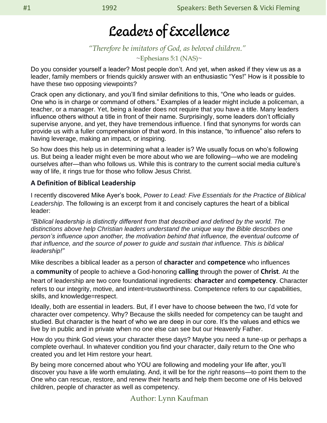## Leaders of Excellence

### *"Therefore be imitators of God, as beloved children."*

 $\sim$ Ephesians 5:1 (NAS) $\sim$ 

Do you consider yourself a leader? Most people don't. And yet, when asked if they view us as a leader, family members or friends quickly answer with an enthusiastic "Yes!" How is it possible to have these two opposing viewpoints?

Crack open any dictionary, and you'll find similar definitions to this, "One who leads or guides. One who is in charge or command of others." Examples of a leader might include a policeman, a teacher, or a manager. Yet, being a leader does not require that you have a title. Many leaders influence others without a title in front of their name. Surprisingly, some leaders don't officially supervise anyone, and yet, they have tremendous influence. I find that synonyms for words can provide us with a fuller comprehension of that word. In this instance, "to influence" also refers to having leverage, making an impact, or inspiring.

So how does this help us in determining what a leader is? We usually focus on who's following us. But being a leader might even be more about who we are following—who we are modeling ourselves after—than who follows us. While this is contrary to the current social media culture's way of life, it rings true for those who follow Jesus Christ.

### **A Definition of Biblical Leadership**

I recently discovered Mike Ayer's book, *[Power to Lead: Five Essentials for the Practice of Biblical](https://smile.amazon.com/Power-Lead-Essentials-Practice-Leadership/dp/069248972X/ref=sr_1_2?ie=UTF8&qid=1469211803&sr=8-2&keywords=power+to+lead)  [Leadership](https://smile.amazon.com/Power-Lead-Essentials-Practice-Leadership/dp/069248972X/ref=sr_1_2?ie=UTF8&qid=1469211803&sr=8-2&keywords=power+to+lead)*. The following is an excerpt from it and concisely captures the heart of a biblical leader:

*"Biblical leadership is distinctly different from that described and defined by the world. The distinctions above help Christian leaders understand the unique way the Bible describes one person's influence upon another, the motivation behind that influence, the eventual outcome of that influence, and the source of power to guide and sustain that influence. This is biblical leadership!"*

Mike describes a biblical leader as a person of **character** and **competence** who influences a **community** of people to achieve a God-honoring **calling** through the power of **Christ**. At the heart of leadership are two core foundational ingredients: **character** and **competency**. Character refers to our integrity, motive, and intent=trustworthiness. Competence refers to our capabilities, skills, and knowledge=respect.

Ideally, both are essential in leaders. But, if I ever have to choose between the two, I'd vote for character over competency. Why? Because the skills needed for competency can be taught and studied. But character is the heart of who we are deep in our core. It's the values and ethics we live by in public and in private when no one else can see but our Heavenly Father.

How do you think God views your character these days? Maybe you need a tune-up or perhaps a complete overhaul. In whatever condition you find your character, daily return to the One who created you and let Him restore your heart.

By being more concerned about who YOU are following and modeling your life after, you'll discover you have a life worth emulating. And, it will be for the *right* reasons—to point them to the One who can rescue, restore, and renew their hearts and help them become one of His beloved children, people of character as well as competency.

Author: Lynn Kaufman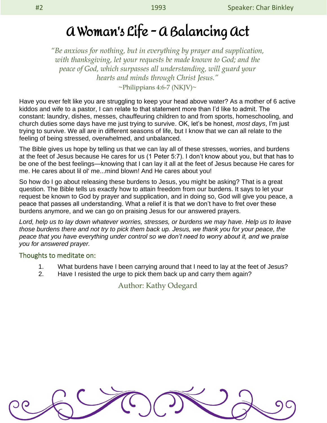*"Be anxious for nothing, but in everything by prayer and supplication, with thanksgiving, let your requests be made known to God; and the peace of God, which surpasses all understanding, will guard your hearts and minds through Christ Jesus."*

 $\sim$ Philippians 4:6-7 (NKJV) $\sim$ 

Have you ever felt like you are struggling to keep your head above water? As a mother of 6 active kiddos and wife to a pastor, I can relate to that statement more than I'd like to admit. The constant: laundry, dishes, messes, chauffeuring children to and from sports, homeschooling, and church duties some days have me just trying to survive. OK, let's be honest, *most days*, I'm just trying to survive. We all are in different seasons of life, but I know that we can all relate to the feeling of being stressed, overwhelmed, and unbalanced.

The Bible gives us hope by telling us that we can lay all of these stresses, worries, and burdens at the feet of Jesus because He cares for us (1 Peter 5:7). I don't know about you, but that has to be one of the best feelings—knowing that I can lay it all at the feet of Jesus because He cares for me. He cares about lil ol' me...mind blown! And He cares about you!

So how do I go about releasing these burdens to Jesus, you might be asking? That is a great question. The Bible tells us exactly how to attain freedom from our burdens. It says to let your request be known to God by prayer and supplication, and in doing so, God will give you peace, a peace that passes all understanding. What a relief it is that we don't have to fret over these burdens anymore, and we can go on praising Jesus for our answered prayers.

*Lord, help us to lay down whatever worries, stresses, or burdens we may have. Help us to leave those burdens there and not try to pick them back up. Jesus, we thank you for your peace, the peace that you have everything under control so we don't need to worry about it, and we praise you for answered prayer.* 

### Thoughts to meditate on:

- 1. What burdens have I been carrying around that I need to lay at the feet of Jesus?
- 2. Have I resisted the urge to pick them back up and carry them again?

Author: Kathy Odegard

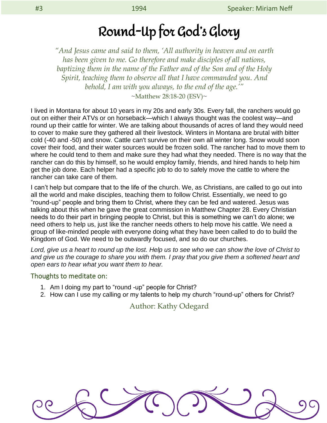## Round-Up for God's Glory

*"And Jesus came and said to them, 'All authority in heaven and on earth has been given to me. Go therefore and make disciples of all nations, baptizing them in the name of the Father and of the Son and of the Holy Spirit, teaching them to observe all that I have commanded you. And behold, I am with you always, to the end of the age.'"*

 $~\sim$ Matthew 28:18-20 (ESV) $\sim$ 

I lived in Montana for about 10 years in my 20s and early 30s. Every fall, the ranchers would go out on either their ATVs or on horseback—which I always thought was the coolest way—and round up their cattle for winter. We are talking about thousands of acres of land they would need to cover to make sure they gathered all their livestock. Winters in Montana are brutal with bitter cold (-40 and -50) and snow. Cattle can't survive on their own all winter long. Snow would soon cover their food, and their water sources would be frozen solid. The rancher had to move them to where he could tend to them and make sure they had what they needed. There is no way that the rancher can do this by himself, so he would employ family, friends, and hired hands to help him get the job done. Each helper had a specific job to do to safely move the cattle to where the rancher can take care of them.

I can't help but compare that to the life of the church. We, as Christians, are called to go out into all the world and make disciples, teaching them to follow Christ. Essentially, we need to go "round-up" people and bring them to Christ, where they can be fed and watered. Jesus was talking about this when he gave the great commission in Matthew Chapter 28. Every Christian needs to do their part in bringing people to Christ, but this is something we can't do alone; we need others to help us, just like the rancher needs others to help move his cattle. We need a group of like-minded people with everyone doing what they have been called to do to build the Kingdom of God. We need to be outwardly focused, and so do our churches.

*Lord, give us a heart to round up the lost. Help us to see who we can show the love of Christ to and give us the courage to share you with them. I pray that you give them a softened heart and open ears to hear what you want them to hear.*

#### Thoughts to meditate on:

- 1. Am I doing my part to "round -up" people for Christ?
- 2. How can I use my calling or my talents to help my church "round-up" others for Christ?

### Author: Kathy Odegard

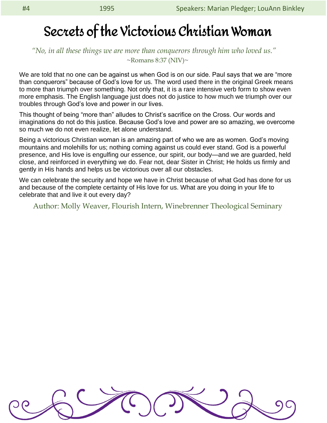### Secrets of the Victorious Christian Woman

### *"No, in all these things we are more than conquerors through him who loved us."*   $\sim$ Romans 8:37 (NIV) $\sim$

We are told that no one can be against us when God is on our side. Paul says that we are "more than conquerors" because of God's love for us. The word used there in the original Greek means to more than triumph over something. Not only that, it is a rare intensive verb form to show even more emphasis. The English language just does not do justice to how much we triumph over our troubles through God's love and power in our lives.

This thought of being "more than" alludes to Christ's sacrifice on the Cross. Our words and imaginations do not do this justice. Because God's love and power are so amazing, we overcome so much we do not even realize, let alone understand.

Being a victorious Christian woman is an amazing part of who we are as women. God's moving mountains and molehills for us; nothing coming against us could ever stand. God is a powerful presence, and His love is engulfing our essence, our spirit, our body—and we are guarded, held close, and reinforced in everything we do. Fear not, dear Sister in Christ; He holds us firmly and gently in His hands and helps us be victorious over all our obstacles.

We can celebrate the security and hope we have in Christ because of what God has done for us and because of the complete certainty of His love for us. What are you doing in your life to celebrate that and live it out every day?

Author: Molly Weaver, Flourish Intern, Winebrenner Theological Seminary

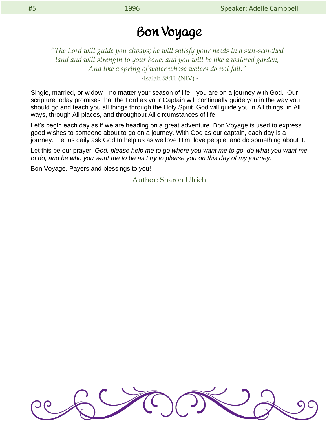### Bon Voyage

*"The Lord will guide you always; he will satisfy your needs in a sun-scorched land and will strength to your bone; and you will be like a watered garden, And like a spring of water whose waters do not fail."*

 $\sim$ Isaiah 58:11 (NIV) $\sim$ 

Single, married, or widow—no matter your season of life—you are on a journey with God. Our scripture today promises that the Lord as your Captain will continually guide you in the way you should go and teach you all things through the Holy Spirit. God will guide you in All things, in All ways, through All places, and throughout All circumstances of life.

Let's begin each day as if we are heading on a great adventure. Bon Voyage is used to express good wishes to someone about to go on a journey. With God as our captain, each day is a journey. Let us daily ask God to help us as we love Him, love people, and do something about it.

Let this be our prayer. *God, please help me to go where you want me to go, do what you want me to do, and be who you want me to be as I try to please you on this day of my journey.*

Bon Voyage. Payers and blessings to you!

Author: Sharon Ulrich

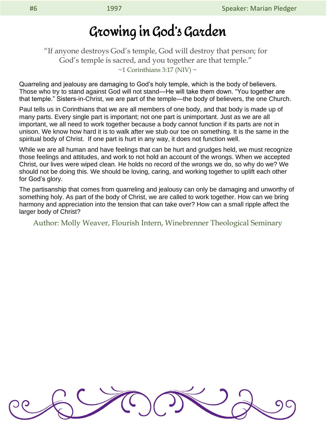"If anyone destroys God's temple, God will destroy that person; for God's temple is sacred, and you together are that temple."  $\sim$ 1 Corinthians 3:17 (NIV)  $\sim$ 

Quarreling and jealousy are damaging to God's holy temple, which is the body of believers. Those who try to stand against God will not stand—He will take them down. "You together are that temple." Sisters-in-Christ, we are part of the temple—the body of believers, the one Church.

Paul tells us in Corinthians that we are all members of one body, and that body is made up of many parts. Every single part is important; not one part is unimportant. Just as we are all important, we all need to work together because a body cannot function if its parts are not in unison. We know how hard it is to walk after we stub our toe on something. It is the same in the spiritual body of Christ. If one part is hurt in any way, it does not function well.

While we are all human and have feelings that can be hurt and grudges held, we must recognize those feelings and attitudes, and work to not hold an account of the wrongs. When we accepted Christ, our lives were wiped clean. He holds no record of the wrongs we do, so why do we? We should not be doing this. We should be loving, caring, and working together to uplift each other for God's glory.

The partisanship that comes from quarreling and jealousy can only be damaging and unworthy of something holy. As part of the body of Christ, we are called to work together. How can we bring harmony and appreciation into the tension that can take over? How can a small ripple affect the larger body of Christ?

Author: Molly Weaver, Flourish Intern, Winebrenner Theological Seminary

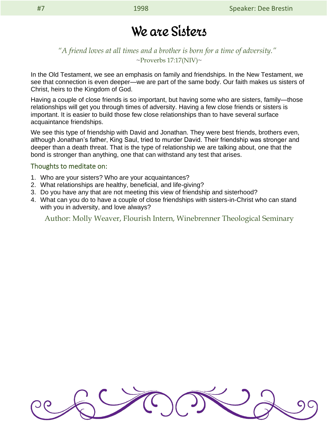### We are Sisters

### *"A friend loves at all times and a brother is born for a time of adversity."*  $\sim$ Proverbs 17:17(NIV) $\sim$

In the Old Testament, we see an emphasis on family and friendships. In the New Testament, we see that connection is even deeper—we are part of the same body. Our faith makes us sisters of Christ, heirs to the Kingdom of God.

Having a couple of close friends is so important, but having some who are sisters, family—those relationships will get you through times of adversity. Having a few close friends or sisters is important. It is easier to build those few close relationships than to have several surface acquaintance friendships.

We see this type of friendship with David and Jonathan. They were best friends, brothers even, although Jonathan's father, King Saul, tried to murder David. Their friendship was stronger and deeper than a death threat. That is the type of relationship we are talking about, one that the bond is stronger than anything, one that can withstand any test that arises.

#### Thoughts to meditate on:

- 1. Who are your sisters? Who are your acquaintances?
- 2. What relationships are healthy, beneficial, and life-giving?
- 3. Do you have any that are not meeting this view of friendship and sisterhood?
- 4. What can you do to have a couple of close friendships with sisters-in-Christ who can stand with you in adversity, and love always?

Author: Molly Weaver, Flourish Intern, Winebrenner Theological Seminary

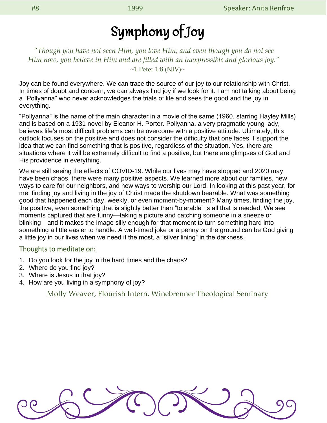## Symphony of Joy

*"Though you have not seen Him, you love Him; and even though you do not see Him now, you believe in Him and are filled with an inexpressible and glorious joy."*  $~1$  Peter 1:8 (NIV) $~$ 

Joy can be found everywhere. We can trace the source of our joy to our relationship with Christ. In times of doubt and concern, we can always find joy if we look for it. I am not talking about being a "Pollyanna" who never acknowledges the trials of life and sees the good and the joy in everything.

"Pollyanna" is the name of the main character in a movie of the same (1960, starring Hayley Mills) and is based on a 1931 novel by Eleanor H. Porter. Pollyanna, a very pragmatic young lady, believes life's most difficult problems can be overcome with a positive attitude. Ultimately, this outlook focuses on the positive and does not consider the difficulty that one faces. I support the idea that we can find something that is positive, regardless of the situation. Yes, there are situations where it will be extremely difficult to find a positive, but there are glimpses of God and His providence in everything.

We are still seeing the effects of COVID-19. While our lives may have stopped and 2020 may have been chaos, there were many positive aspects. We learned more about our families, new ways to care for our neighbors, and new ways to worship our Lord. In looking at this past year, for me, finding joy and living in the joy of Christ made the shutdown bearable. What was something good that happened each day, weekly, or even moment-by-moment? Many times, finding the joy, the positive, even something that is slightly better than "tolerable" is all that is needed. We see moments captured that are funny—taking a picture and catching someone in a sneeze or blinking—and it makes the image silly enough for that moment to turn something hard into something a little easier to handle. A well-timed joke or a penny on the ground can be God giving a little joy in our lives when we need it the most, a "silver lining" in the darkness.

#### Thoughts to meditate on:

- 1. Do you look for the joy in the hard times and the chaos?
- 2. Where do you find joy?
- 3. Where is Jesus in that joy?
- 4. How are you living in a symphony of joy?

Molly Weaver, Flourish Intern, Winebrenner Theological Seminary

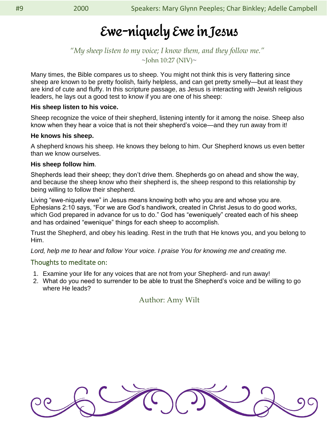## Ewe-niquely Ewe in Jesus

### *"My sheep listen to my voice; I know them, and they follow me."*  $\sim$ John 10:27 (NIV) $\sim$

Many times, the Bible compares us to sheep. You might not think this is very flattering since sheep are known to be pretty foolish, fairly helpless, and can get pretty smelly—but at least they are kind of cute and fluffy. In this scripture passage, as Jesus is interacting with Jewish religious leaders, he lays out a good test to know if you are one of his sheep:

#### **His sheep listen to his voice.**

Sheep recognize the voice of their shepherd, listening intently for it among the noise. Sheep also know when they hear a voice that is not their shepherd's voice—and they run away from it!

#### **He knows his sheep.**

A shepherd knows his sheep. He knows they belong to him. Our Shepherd knows us even better than we know ourselves.

#### **His sheep follow him**.

Shepherds lead their sheep; they don't drive them. Shepherds go on ahead and show the way, and because the sheep know who their shepherd is, the sheep respond to this relationship by being willing to follow their shepherd.

Living "ewe-niquely ewe" in Jesus means knowing both who you are and whose you are. Ephesians 2:10 says, "For we are God's handiwork, created in Christ Jesus to do good works, which God prepared in advance for us to do." God has "eweniquely" created each of his sheep and has ordained "ewenique" things for each sheep to accomplish.

Trust the Shepherd, and obey his leading. Rest in the truth that He knows you, and you belong to Him.

Lord, help me to hear and follow Your voice. I praise You for knowing me and creating me.

### Thoughts to meditate on:

- 1. Examine your life for any voices that are not from your Shepherd- and run away!
- 2. What do you need to surrender to be able to trust the Shepherd's voice and be willing to go where He leads?

Author: Amy Wilt

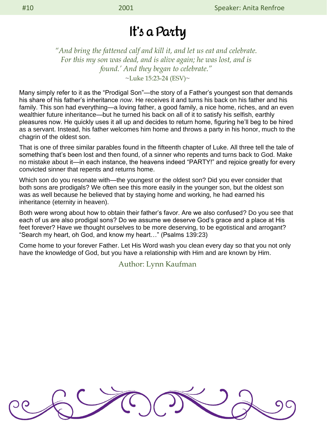### It's a Party

*"And bring the fattened calf and kill it, and let us eat and celebrate. For this my son was dead, and is alive again; he was lost, and is found.' And they began to celebrate."*   $\nu$ Luke 15:23-24 (ESV) $\nu$ 

Many simply refer to it as the "Prodigal Son"—the story of a Father's youngest son that demands his share of his father's inheritance *now*. He receives it and turns his back on his father and his family. This son had everything—a loving father, a good family, a nice home, riches, and an even wealthier future inheritance—but he turned his back on all of it to satisfy his selfish, earthly pleasures now. He quickly uses it all up and decides to return home, figuring he'll beg to be hired as a servant. Instead, his father welcomes him home and throws a party in his honor, much to the chagrin of the oldest son.

That is one of three similar parables found in the fifteenth chapter of Luke. All three tell the tale of something that's been lost and then found, of a sinner who repents and turns back to God. Make no mistake about it—in each instance, the heavens indeed "PARTY!" and rejoice greatly for every convicted sinner that repents and returns home.

Which son do you resonate with—the youngest or the oldest son? Did you ever consider that both sons are prodigals? We often see this more easily in the younger son, but the oldest son was as well because he believed that by staying home and working, he had earned his inheritance (eternity in heaven).

Both were wrong about how to obtain their father's favor. Are we also confused? Do you see that each of us are also prodigal sons? Do we assume we deserve God's grace and a place at His feet forever? Have we thought ourselves to be more deserving, to be egotistical and arrogant? "Search my heart, oh God, and know my heart…" (Psalms 139:23)

Come home to your forever Father. Let His Word wash you clean every day so that you not only have the knowledge of God, but you have a relationship with Him and are known by Him.

Author: Lynn Kaufman

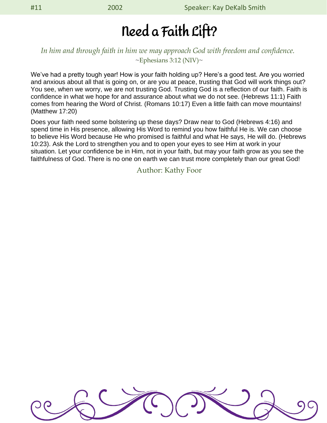## Need a Faith Lift?

### *In him and through faith in him we may approach God with freedom and confidence.*  $\sim$ Ephesians 3:12 (NIV) $\sim$

We've had a pretty tough year! How is your faith holding up? Here's a good test. Are you worried and anxious about all that is going on, or are you at peace, trusting that God will work things out? You see, when we worry, we are not trusting God. Trusting God is a reflection of our faith. Faith is confidence in what we hope for and assurance about what we do not see. (Hebrews 11:1) Faith comes from hearing the Word of Christ. (Romans 10:17) Even a little faith can move mountains! (Matthew 17:20)

Does your faith need some bolstering up these days? Draw near to God (Hebrews 4:16) and spend time in His presence, allowing His Word to remind you how faithful He is. We can choose to believe His Word because He who promised is faithful and what He says, He will do. (Hebrews 10:23). Ask the Lord to strengthen you and to open your eyes to see Him at work in your situation. Let your confidence be in Him, not in your faith, but may your faith grow as you see the faithfulness of God. There is no one on earth we can trust more completely than our great God!

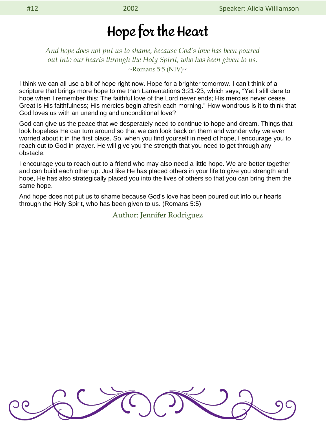### Hope for the Heart

*And hope does not put us to shame, because God's love has been poured out into our hearts through the Holy Spirit, who has been given to us.*  $\sim$ Romans 5:5 (NIV) $\sim$ 

I think we can all use a bit of hope right now. Hope for a brighter tomorrow. I can't think of a scripture that brings more hope to me than Lamentations 3:21-23, which says, "Yet I still dare to hope when I remember this: The faithful love of the Lord never ends; His mercies never cease. Great is His faithfulness; His mercies begin afresh each morning." How wondrous is it to think that God loves us with an unending and unconditional love?

God can give us the peace that we desperately need to continue to hope and dream. Things that look hopeless He can turn around so that we can look back on them and wonder why we ever worried about it in the first place. So, when you find yourself in need of hope, I encourage you to reach out to God in prayer. He will give you the strength that you need to get through any obstacle.

I encourage you to reach out to a friend who may also need a little hope. We are better together and can build each other up. Just like He has placed others in your life to give you strength and hope, He has also strategically placed you into the lives of others so that you can bring them the same hope.

And hope does not put us to shame because God's love has been poured out into our hearts through the Holy Spirit, who has been given to us. (Romans 5:5)

Author: Jennifer Rodriguez

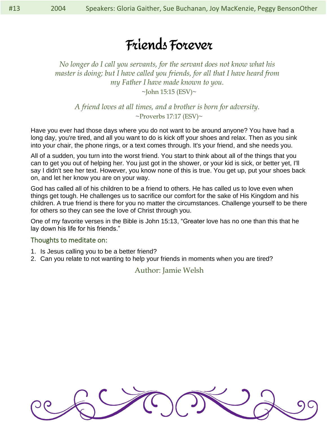## Friends Forever

*No longer do I call you servants, for the servant does not know what his master is doing; but I have called you friends, for all that I have heard from my Father I have made known to you.* 

 $\sim$ John 15:15 (ESV) $\sim$ 

*A friend loves at all times, and a brother is born for adversity.*   $\sim$ Proverbs 17:17 (ESV) $\sim$ 

Have you ever had those days where you do not want to be around anyone? You have had a long day, you're tired, and all you want to do is kick off your shoes and relax. Then as you sink into your chair, the phone rings, or a text comes through. It's your friend, and she needs you.

All of a sudden, you turn into the worst friend. You start to think about all of the things that you can to get you out of helping her. You just got in the shower, or your kid is sick, or better yet, I'll say I didn't see her text. However, you know none of this is true. You get up, put your shoes back on, and let her know you are on your way.

God has called all of his children to be a friend to others. He has called us to love even when things get tough. He challenges us to sacrifice our comfort for the sake of His Kingdom and his children. A true friend is there for you no matter the circumstances. Challenge yourself to be there for others so they can see the love of Christ through you.

One of my favorite verses in the Bible is John 15:13, "Greater love has no one than this that he lay down his life for his friends."

### Thoughts to meditate on:

- 1. Is Jesus calling you to be a better friend?
- 2. Can you relate to not wanting to help your friends in moments when you are tired?

### Author: Jamie Welsh

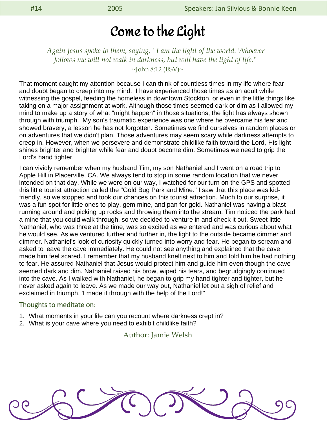### Come to the Light

*Again Jesus spoke to them, saying, "I am the light of the world. Whoever follows me will not walk in darkness, but will have the light of life."*

 $\sim$ John 8:12 (ESV) $\sim$ 

That moment caught my attention because I can think of countless times in my life where fear and doubt began to creep into my mind. I have experienced those times as an adult while witnessing the gospel, feeding the homeless in downtown Stockton, or even in the little things like taking on a major assignment at work. Although those times seemed dark or dim as I allowed my mind to make up a story of what "might happen" in those situations, the light has always shown through with triumph. My son's traumatic experience was one where he overcame his fear and showed bravery, a lesson he has not forgotten. Sometimes we find ourselves in random places or on adventures that we didn't plan. Those adventures may seem scary while darkness attempts to creep in. However, when we persevere and demonstrate childlike faith toward the Lord, His light shines brighter and brighter while fear and doubt become dim. Sometimes we need to grip the Lord's hand tighter.

I can vividly remember when my husband Tim, my son Nathaniel and I went on a road trip to Apple Hill in Placerville, CA. We always tend to stop in some random location that we never intended on that day. While we were on our way, I watched for our turn on the GPS and spotted this little tourist attraction called the "Gold Bug Park and Mine." I saw that this place was kidfriendly, so we stopped and took our chances on this tourist attraction. Much to our surprise, it was a fun spot for little ones to play, gem mine, and pan for gold. Nathaniel was having a blast running around and picking up rocks and throwing them into the stream. Tim noticed the park had a mine that you could walk through, so we decided to venture in and check it out. Sweet little Nathaniel, who was three at the time, was so excited as we entered and was curious about what he would see. As we ventured further and further in, the light to the outside became dimmer and dimmer. Nathaniel's look of curiosity quickly turned into worry and fear. He began to scream and asked to leave the cave immediately. He could not see anything and explained that the cave made him feel scared. I remember that my husband knelt next to him and told him he had nothing to fear. He assured Nathaniel that Jesus would protect him and guide him even though the cave seemed dark and dim. Nathaniel raised his brow, wiped his tears, and begrudgingly continued into the cave. As I walked with Nathaniel, he began to grip my hand tighter and tighter, but he never asked again to leave. As we made our way out, Nathaniel let out a sigh of relief and exclaimed in triumph, 'I made it through with the help of the Lord!"

#### Thoughts to meditate on:

- 1. What moments in your life can you recount where darkness crept in?
- 2. What is your cave where you need to exhibit childlike faith?

#### Author: Jamie Welsh

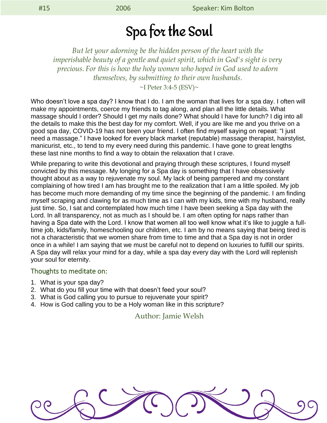## Spa for the Soul

*But let your adorning be the hidden person of the heart with the imperishable beauty of a gentle and quiet spirit, which in God's sight is very precious. For this is how the holy women who hoped in God used to adorn themselves, by submitting to their own husbands.*

 $\sim$ I Peter 3:4-5 (ESV) $\sim$ 

Who doesn't love a spa day? I know that I do. I am the woman that lives for a spa day. I often will make my appointments, coerce my friends to tag along, and plan all the little details. What massage should I order? Should I get my nails done? What should I have for lunch? I dig into all the details to make this the best day for my comfort. Well, if you are like me and you thrive on a good spa day, COVID-19 has not been your friend. I often find myself saying on repeat: "I just need a massage." I have looked for every black market (reputable) massage therapist, hairstylist, manicurist, etc., to tend to my every need during this pandemic. I have gone to great lengths these last nine months to find a way to obtain the relaxation that I crave.

While preparing to write this devotional and praying through these scriptures, I found myself convicted by this message. My longing for a Spa day is something that I have obsessively thought about as a way to rejuvenate my soul. My lack of being pampered and my constant complaining of how tired I am has brought me to the realization that I am a little spoiled. My job has become much more demanding of my time since the beginning of the pandemic. I am finding myself scraping and clawing for as much time as I can with my kids, time with my husband, really just time. So, I sat and contemplated how much time I have been seeking a Spa day with the Lord. In all transparency, not as much as I should be. I am often opting for naps rather than having a Spa date with the Lord. I know that women all too well know what it's like to juggle a fulltime job, kids/family, homeschooling our children, etc. I am by no means saying that being tired is not a characteristic that we women share from time to time and that a Spa day is not in order once in a while! I am saying that we must be careful not to depend on luxuries to fulfill our spirits. A Spa day will relax your mind for a day, while a spa day every day with the Lord will replenish your soul for eternity.

#### Thoughts to meditate on:

- 1. What is your spa day?
- 2. What do you fill your time with that doesn't feed your soul?
- 3. What is God calling you to pursue to rejuvenate your spirit?
- 4. How is God calling you to be a Holy woman like in this scripture?

Author: Jamie Welsh

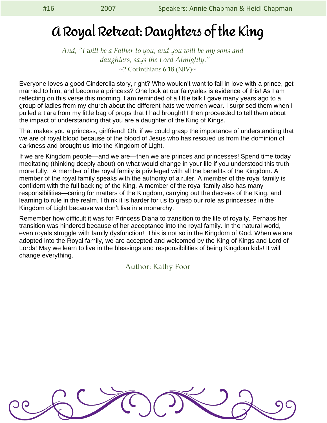## A Royal Retreat: Daughters of the King

*And, "I will be a Father to you, and you will be my sons and daughters, says the Lord Almighty."*  $\sim$ 2 Corinthians 6:18 (NIV) $\sim$ 

Everyone loves a good Cinderella story, right? Who wouldn't want to fall in love with a prince, get married to him, and become a princess? One look at our fairytales is evidence of this! As I am reflecting on this verse this morning, I am reminded of a little talk I gave many years ago to a group of ladies from my church about the different hats we women wear. I surprised them when I pulled a tiara from my little bag of props that I had brought! I then proceeded to tell them about the impact of understanding that you are a daughter of the King of Kings.

That makes you a princess, girlfriend! Oh, if we could grasp the importance of understanding that we are of royal blood because of the blood of Jesus who has rescued us from the dominion of darkness and brought us into the Kingdom of Light.

If we are Kingdom people—and we are—then we are princes and princesses! Spend time today meditating (thinking deeply about) on what would change in your life if you understood this truth more fully. A member of the royal family is privileged with all the benefits of the Kingdom. A member of the royal family speaks with the authority of a ruler. A member of the royal family is confident with the full backing of the King. A member of the royal family also has many responsibilities—caring for matters of the Kingdom, carrying out the decrees of the King, and learning to rule in the realm. I think it is harder for us to grasp our role as princesses in the Kingdom of Light because we don't live in a monarchy.

Remember how difficult it was for Princess Diana to transition to the life of royalty. Perhaps her transition was hindered because of her acceptance into the royal family. In the natural world, even royals struggle with family dysfunction! This is not so in the Kingdom of God. When we are adopted into the Royal family, we are accepted and welcomed by the King of Kings and Lord of Lords! May we learn to live in the blessings and responsibilities of being Kingdom kids! It will change everything.

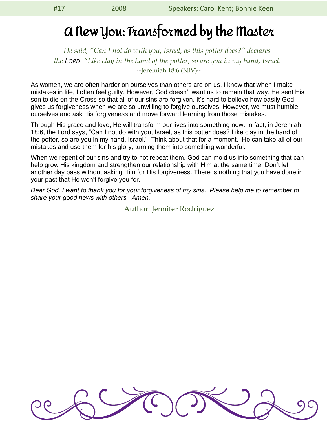### A New You: Transformed by the Master

*He said, "Can I not do with you, Israel, as this potter does?" declares the LORD. "Like clay in the hand of the potter, so are you in my hand, Israel.*  $\sim$ Jeremiah 18:6 (NIV) $\sim$ 

As women, we are often harder on ourselves than others are on us. I know that when I make mistakes in life, I often feel guilty. However, God doesn't want us to remain that way. He sent His son to die on the Cross so that all of our sins are forgiven. It's hard to believe how easily God gives us forgiveness when we are so unwilling to forgive ourselves. However, we must humble ourselves and ask His forgiveness and move forward learning from those mistakes.

Through His grace and love, He will transform our lives into something new. In fact, in Jeremiah 18:6, the Lord says, "Can I not do with you, Israel, as this potter does? Like clay in the hand of the potter, so are you in my hand, Israel." Think about that for a moment. He can take all of our mistakes and use them for his glory, turning them into something wonderful.

When we repent of our sins and try to not repeat them, God can mold us into something that can help grow His kingdom and strengthen our relationship with Him at the same time. Don't let another day pass without asking Him for His forgiveness. There is nothing that you have done in your past that He won't forgive you for.

*Dear God, I want to thank you for your forgiveness of my sins. Please help me to remember to share your good news with others. Amen.*

Author: Jennifer Rodriguez

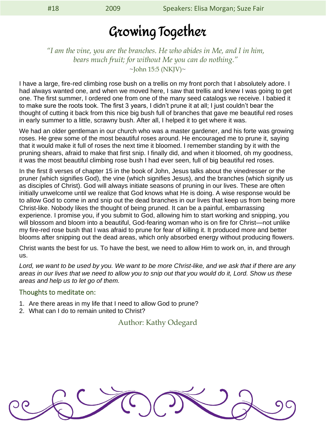### Growing Together

### *"I am the vine, you are the branches. He who abides in Me, and I in him, bears much fruit; for without Me you can do nothing."*  $\sim$ John 15:5 (NKJV) $\sim$

I have a large, fire-red climbing rose bush on a trellis on my front porch that I absolutely adore. I had always wanted one, and when we moved here, I saw that trellis and knew I was going to get one. The first summer, I ordered one from one of the many seed catalogs we receive. I babied it to make sure the roots took. The first 3 years, I didn't prune it at all; I just couldn't bear the thought of cutting it back from this nice big bush full of branches that gave me beautiful red roses in early summer to a little, scrawny bush. After all, I helped it to get where it was.

We had an older gentleman in our church who was a master gardener, and his forte was growing roses. He grew some of the most beautiful roses around. He encouraged me to prune it, saying that it would make it full of roses the next time it bloomed. I remember standing by it with the pruning shears, afraid to make that first snip. I finally did, and when it bloomed, oh my goodness, it was the most beautiful climbing rose bush I had ever seen, full of big beautiful red roses.

In the first 8 verses of chapter 15 in the book of John, Jesus talks about the vinedresser or the pruner (which signifies God), the vine (which signifies Jesus), and the branches (which signify us as disciples of Christ). God will always initiate seasons of pruning in our lives. These are often initially unwelcome until we realize that God knows what He is doing. A wise response would be to allow God to come in and snip out the dead branches in our lives that keep us from being more Christ-like. Nobody likes the thought of being pruned. It can be a painful, embarrassing experience. I promise you, if you submit to God, allowing him to start working and snipping, you will blossom and bloom into a beautiful, God-fearing woman who is on fire for Christ—not unlike my fire-red rose bush that I was afraid to prune for fear of killing it. It produced more and better blooms after snipping out the dead areas, which only absorbed energy without producing flowers.

Christ wants the best for us. To have the best, we need to allow Him to work on, in, and through us.

*Lord, we want to be used by you. We want to be more Christ-like, and we ask that if there are any areas in our lives that we need to allow you to snip out that you would do it, Lord. Show us these areas and help us to let go of them.*

#### Thoughts to meditate on:

- 1. Are there areas in my life that I need to allow God to prune?
- 2. What can I do to remain united to Christ?

Author: Kathy Odegard

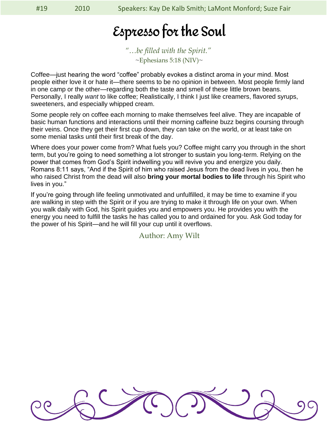## Espresso for the Soul

*"…be filled with the Spirit."*  $\sim$ Ephesians 5:18 (NIV) $\sim$ 

Coffee—just hearing the word "coffee" probably evokes a distinct aroma in your mind. Most people either love it or hate it—there seems to be no opinion in between. Most people firmly land in one camp or the other—regarding both the taste and smell of these little brown beans. Personally, I really *want* to like coffee; Realistically, I think I just like creamers, flavored syrups, sweeteners, and especially whipped cream.

Some people rely on coffee each morning to make themselves feel alive. They are incapable of basic human functions and interactions until their morning caffeine buzz begins coursing through their veins. Once they get their first cup down, they can take on the world, or at least take on some menial tasks until their first break of the day.

Where does your power come from? What fuels you? Coffee might carry you through in the short term, but you're going to need something a lot stronger to sustain you long-term. Relying on the power that comes from God's Spirit indwelling you will revive you and energize you daily. Romans 8:11 says, "And if the Spirit of him who raised Jesus from the dead lives in you, then he who raised Christ from the dead will also **bring your mortal bodies to life** through his Spirit who lives in you."

If you're going through life feeling unmotivated and unfulfilled, it may be time to examine if you are walking in step with the Spirit or if you are trying to make it through life on your own. When you walk daily with God, his Spirit guides you and empowers you. He provides you with the energy you need to fulfill the tasks he has called you to and ordained for you. Ask God today for the power of his Spirit—and he will fill your cup until it overflows.

Author: Amy Wilt

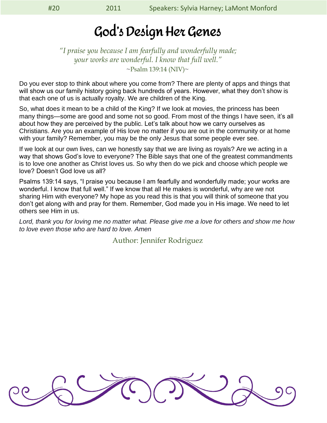### God's Design Her Genes

*"I praise you because I am fearfully and wonderfully made; your works are wonderful. I know that full well."*  $\sim$ Psalm 139:14 (NIV) $\sim$ 

Do you ever stop to think about where you come from? There are plenty of apps and things that will show us our family history going back hundreds of years. However, what they don't show is that each one of us is actually royalty. We are children of the King.

So, what does it mean to be a child of the King? If we look at movies, the princess has been many things—some are good and some not so good. From most of the things I have seen, it's all about how they are perceived by the public. Let's talk about how we carry ourselves as Christians. Are you an example of His love no matter if you are out in the community or at home with your family? Remember, you may be the only Jesus that some people ever see.

If we look at our own lives, can we honestly say that we are living as royals? Are we acting in a way that shows God's love to everyone? The Bible says that one of the greatest commandments is to love one another as Christ loves us. So why then do we pick and choose which people we love? Doesn't God love us all?

Psalms 139:14 says, "I praise you because I am fearfully and wonderfully made; your works are wonderful. I know that full well." If we know that all He makes is wonderful, why are we not sharing Him with everyone? My hope as you read this is that you will think of someone that you don't get along with and pray for them. Remember, God made you in His image. We need to let others see Him in us.

*Lord, thank you for loving me no matter what. Please give me a love for others and show me how to love even those who are hard to love. Amen*

Author: Jennifer Rodriguez

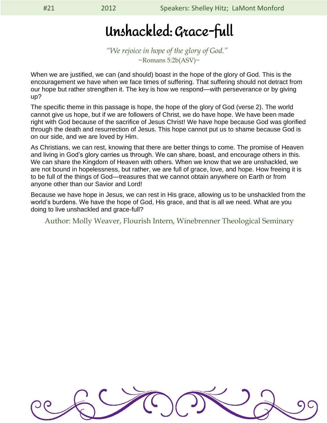## Unshackled: Grace-full

*"We rejoice in hope of the glory of God."*   $\sim$ Romans 5:2b(ASV) $\sim$ 

When we are justified, we can (and should) boast in the hope of the glory of God. This is the encouragement we have when we face times of suffering. That suffering should not detract from our hope but rather strengthen it. The key is how we respond—with perseverance or by giving up?

The specific theme in this passage is hope, the hope of the glory of God (verse 2). The world cannot give us hope, but if we are followers of Christ, we do have hope. We have been made right with God because of the sacrifice of Jesus Christ! We have hope because God was glorified through the death and resurrection of Jesus. This hope cannot put us to shame because God is on our side, and we are loved by Him.

As Christians, we can rest, knowing that there are better things to come. The promise of Heaven and living in God's glory carries us through. We can share, boast, and encourage others in this. We can share the Kingdom of Heaven with others. When we know that we are unshackled, we are not bound in hopelessness, but rather, we are full of grace, love, and hope. How freeing it is to be full of the things of God—treasures that we cannot obtain anywhere on Earth or from anyone other than our Savior and Lord!

Because we have hope in Jesus, we can rest in His grace, allowing us to be unshackled from the world's burdens. We have the hope of God, His grace, and that is all we need. What are you doing to live unshackled and grace-full?

Author: Molly Weaver, Flourish Intern, Winebrenner Theological Seminary

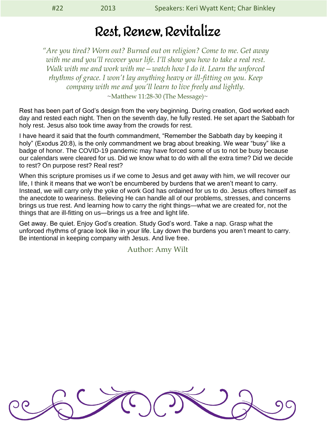### Rest, Renew, Revitalize

*"Are you tired? Worn out? Burned out on religion? Come to me. Get away with me and you'll recover your life. I'll show you how to take a real rest. Walk with me and work with me—watch how I do it. Learn the unforced rhythms of grace. I won't lay anything heavy or ill-fitting on you. Keep company with me and you'll learn to live freely and lightly.*  $~\sim$ Matthew 11:28-30 (The Message) $\sim$ 

Rest has been part of God's design from the very beginning. During creation, God worked each day and rested each night. Then on the seventh day, he fully rested. He set apart the Sabbath for holy rest. Jesus also took time away from the crowds for rest.

I have heard it said that the fourth commandment, "Remember the Sabbath day by keeping it holy" (Exodus 20:8), is the only commandment we brag about breaking. We wear "busy" like a badge of honor. The COVID-19 pandemic may have forced some of us to not be busy because our calendars were cleared for us. Did we know what to do with all the extra time? Did we decide to rest? On purpose rest? Real rest?

When this scripture promises us if we come to Jesus and get away with him, we will recover our life, I think it means that we won't be encumbered by burdens that we aren't meant to carry. Instead, we will carry only the yoke of work God has ordained for us to do. Jesus offers himself as the anecdote to weariness. Believing He can handle all of our problems, stresses, and concerns brings us true rest. And learning how to carry the right things—what we are created for, not the things that are ill-fitting on us—brings us a free and light life.

Get away. Be quiet. Enjoy God's creation. Study God's word. Take a nap. Grasp what the unforced rhythms of grace look like in your life. Lay down the burdens you aren't meant to carry. Be intentional in keeping company with Jesus. And live free.

Author: Amy Wilt

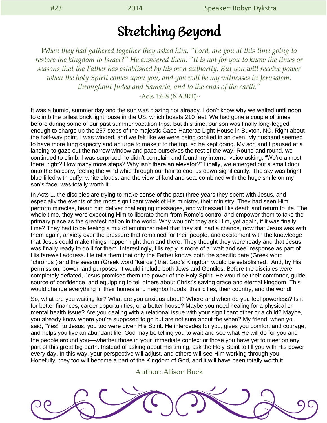### Stretching Beyond

*When they had gathered together they asked him, "Lord, are you at this time going to restore the kingdom to Israel?" He answered them, "It is not for you to know the times or seasons that the Father has established by his own authority. But you will receive power when the holy Spirit comes upon you, and you will be my witnesses in Jerusalem, throughout Judea and Samaria, and to the ends of the earth."*

 $~\sim$ Acts 1:6-8 (NABRE) $\sim$ 

It was a humid, summer day and the sun was blazing hot already. I don't know why we waited until noon to climb the tallest brick lighthouse in the US, which boasts 210 feet. We had gone a couple of times before during some of our past summer vacation trips. But this time, our son was finally long-legged enough to charge up the 257 steps of the majestic Cape Hatteras Light House in Buxton, NC. Right about the half-way point, I was winded, and we felt like we were being cooked in an oven. My husband seemed to have more lung capacity and an urge to make it to the top, so he kept going. My son and I paused at a landing to gaze out the narrow window and pace ourselves the rest of the way. Round and round, we continued to climb. I was surprised he didn't complain and found my internal voice asking, "We're almost there, right? How many more steps? Why isn't there an elevator?" Finally, we emerged out a small door onto the balcony, feeling the wind whip through our hair to cool us down significantly. The sky was bright blue filled with puffy, white clouds, and the view of land and sea, combined with the huge smile on my son's face, was totally worth it.

In Acts 1, the disciples are trying to make sense of the past three years they spent with Jesus, and especially the events of the most significant week of His ministry, their ministry. They had seen Him perform miracles, heard him deliver challenging messages, and witnessed His death and return to life. The whole time, they were expecting Him to liberate them from Rome's control and empower them to take the primary place as the greatest nation in the world. Why wouldn't they ask Him, yet again, if it was finally time? They had to be feeling a mix of emotions: relief that they still had a chance, now that Jesus was with them again, anxiety over the pressure that remained for their people, and excitement with the knowledge that Jesus could make things happen right then and there. They thought they were ready and that Jesus was finally ready to do it for them. Interestingly, His reply is more of a "wait and see" response as part of His farewell address. He tells them that only the Father knows both the specific date (Greek word "chronos") and the season (Greek word "kairos") that God's Kingdom would be established. And, by His permission, power, and purposes, it would include both Jews and Gentiles. Before the disciples were completely deflated, Jesus promises them the power of the Holy Spirit. He would be their comforter, guide, source of confidence, and equipping to tell others about Christ's saving grace and eternal kingdom. This would change everything in their homes and neighborhoods, their cities, their country, and the world!

So, what are you waiting for? What are you anxious about? Where and when do you feel powerless? Is it for better finances, career opportunities, or a better house? Maybe you need healing for a physical or mental health issue? Are you dealing with a relational issue with your significant other or a child? Maybe, you already know where you're supposed to go but are not sure about the when? My friend, when you said, "Yes!" to Jesus, you too were given His Spirit. He intercedes for you, gives you comfort and courage, and helps you live an abundant life. God may be telling you to wait and see what He will do for you and the people around you—whether those in your immediate context or those you have yet to meet on any part of this great big earth. Instead of asking about His timing, ask the Holy Spirit to fill you with His power every day. In this way, your perspective will adjust, and others will see Him working through you. Hopefully, they too will become a part of the Kingdom of God, and it will have been totally worth it.

#### Author: Alison Buck

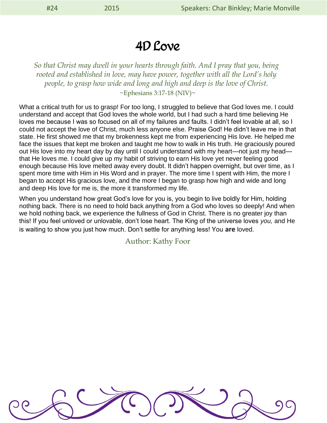### 4D Love

*So that Christ may dwell in your hearts through faith. And I pray that you, being rooted and established in love, may have power, together with all the Lord's holy people, to grasp how wide and long and high and deep is the love of Christ.*  $\sim$ Ephesians 3:17-18 (NIV) $\sim$ 

What a critical truth for us to grasp! For too long, I struggled to believe that God loves me. I could understand and accept that God loves the whole world, but I had such a hard time believing He loves me because I was so focused on all of my failures and faults. I didn't feel lovable at all, so I could not accept the love of Christ, much less anyone else. Praise God! He didn't leave me in that state. He first showed me that my brokenness kept me from experiencing His love. He helped me face the issues that kept me broken and taught me how to walk in His truth. He graciously poured out His love into my heart day by day until I could understand with my heart—not just my head that He loves me. I could give up my habit of striving to earn His love yet never feeling good enough because His love melted away every doubt. It didn't happen overnight, but over time, as I spent more time with Him in His Word and in prayer. The more time I spent with Him, the more I began to accept His gracious love, and the more I began to grasp how high and wide and long and deep His love for me is, the more it transformed my life.

When you understand how great God's love for you is, you begin to live boldly for Him, holding nothing back. There is no need to hold back anything from a God who loves so deeply! And when we hold nothing back, we experience the fullness of God in Christ. There is no greater joy than this! If you feel unloved or unlovable, don't lose heart. The King of the universe loves *you,* and He is waiting to show you just how much. Don't settle for anything less! You **are** loved.

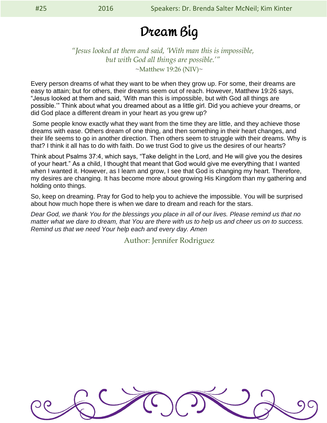### Dream Big

### *"Jesus looked at them and said, 'With man this is impossible, but with God all things are possible.'"* ~Matthew 19:26 (NIV)~

Every person dreams of what they want to be when they grow up. For some, their dreams are easy to attain; but for others, their dreams seem out of reach. However, Matthew 19:26 says, "Jesus looked at them and said, 'With man this is impossible, but with God all things are possible.'" Think about what you dreamed about as a little girl. Did you achieve your dreams, or did God place a different dream in your heart as you grew up?

Some people know exactly what they want from the time they are little, and they achieve those dreams with ease. Others dream of one thing, and then something in their heart changes, and their life seems to go in another direction. Then others seem to struggle with their dreams. Why is that? I think it all has to do with faith. Do we trust God to give us the desires of our hearts?

Think about Psalms 37:4, which says, "Take delight in the Lord, and He will give you the desires of your heart." As a child, I thought that meant that God would give me everything that I wanted when I wanted it. However, as I learn and grow, I see that God is changing my heart. Therefore, my desires are changing. It has become more about growing His Kingdom than my gathering and holding onto things.

So, keep on dreaming. Pray for God to help you to achieve the impossible. You will be surprised about how much hope there is when we dare to dream and reach for the stars.

*Dear God, we thank You for the blessings you place in all of our lives. Please remind us that no matter what we dare to dream, that You are there with us to help us and cheer us on to success. Remind us that we need Your help each and every day. Amen*

Author: Jennifer Rodriguez

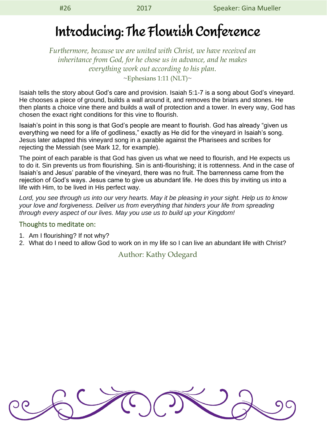## Introducing: The Flourish Conference

*Furthermore, because we are united with Christ, we have received an inheritance from God, for he chose us in advance, and he makes everything work out according to his plan.*  $\sim$ Ephesians 1:11 (NLT) $\sim$ 

Isaiah tells the story about God's care and provision. Isaiah 5:1-7 is a song about God's vineyard. He chooses a piece of ground, builds a wall around it, and removes the briars and stones. He then plants a choice vine there and builds a wall of protection and a tower. In every way, God has chosen the exact right conditions for this vine to flourish.

Isaiah's point in this song is that God's people are meant to flourish. God has already "given us everything we need for a life of godliness," exactly as He did for the vineyard in Isaiah's song. Jesus later adapted this vineyard song in a parable against the Pharisees and scribes for rejecting the Messiah (see Mark 12, for example).

The point of each parable is that God has given us what we need to flourish, and He expects us to do it. Sin prevents us from flourishing. Sin is anti-flourishing; it is rottenness. And in the case of Isaiah's and Jesus' parable of the vineyard, there was no fruit. The barrenness came from the rejection of God's ways. Jesus came to give us abundant life. He does this by inviting us into a life with Him, to be lived in His perfect way.

*Lord, you see through us into our very hearts. May it be pleasing in your sight. Help us to know your love and forgiveness. Deliver us from everything that hinders your life from spreading through every aspect of our lives. May you use us to build up your Kingdom!*

#### Thoughts to meditate on:

- 1. Am I flourishing? If not why?
- 2. What do I need to allow God to work on in my life so I can live an abundant life with Christ?

### Author: Kathy Odegard

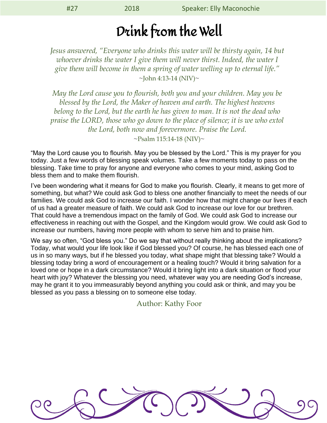### Drink from the Well

*Jesus answered, "Everyone who drinks this water will be thirsty again, 14 but whoever drinks the water I give them will never thirst. Indeed, the water I give them will become in them a spring of water welling up to eternal life."*  $\sim$ John 4:13-14 (NIV) $\sim$ 

*May the Lord cause you to flourish, both you and your children. May you be blessed by the Lord, the Maker of heaven and earth. The highest heavens belong to the Lord, but the earth he has given to man. It is not the dead who praise the LORD, those who go down to the place of silence; it is we who extol the Lord, both now and forevermore. Praise the Lord.* 

 $\sim$ Psalm 115:14-18 (NIV) $\sim$ 

"May the Lord cause you to flourish. May you be blessed by the Lord." This is my prayer for you today. Just a few words of blessing speak volumes. Take a few moments today to pass on the blessing. Take time to pray for anyone and everyone who comes to your mind, asking God to bless them and to make them flourish.

I've been wondering what it means for God to make you flourish. Clearly, it means to get more of something, but what? We could ask God to bless one another financially to meet the needs of our families. We could ask God to increase our faith. I wonder how that might change our lives if each of us had a greater measure of faith. We could ask God to increase our love for our brethren. That could have a tremendous impact on the family of God. We could ask God to increase our effectiveness in reaching out with the Gospel, and the Kingdom would grow. We could ask God to increase our numbers, having more people with whom to serve him and to praise him.

We say so often, "God bless you." Do we say that without really thinking about the implications? Today, what would your life look like if God blessed you? Of course, he has blessed each one of us in so many ways, but if he blessed you today, what shape might that blessing take? Would a blessing today bring a word of encouragement or a healing touch? Would it bring salvation for a loved one or hope in a dark circumstance? Would it bring light into a dark situation or flood your heart with joy? Whatever the blessing you need, whatever way you are needing God's increase, may he grant it to you immeasurably beyond anything you could ask or think, and may you be blessed as you pass a blessing on to someone else today.

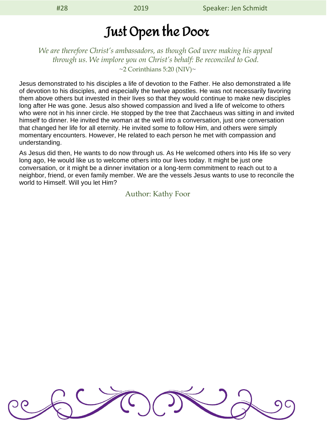### Just Open the Door

### *We are therefore Christ's ambassadors, as though God were making his appeal through us. We implore you on Christ's behalf: Be reconciled to God.*  $\sim$ 2 Corinthians 5:20 (NIV) $\sim$

Jesus demonstrated to his disciples a life of devotion to the Father. He also demonstrated a life of devotion to his disciples, and especially the twelve apostles. He was not necessarily favoring them above others but invested in their lives so that they would continue to make new disciples long after He was gone. Jesus also showed compassion and lived a life of welcome to others who were not in his inner circle. He stopped by the tree that Zacchaeus was sitting in and invited himself to dinner. He invited the woman at the well into a conversation, just one conversation that changed her life for all eternity. He invited some to follow Him, and others were simply momentary encounters. However, He related to each person he met with compassion and understanding.

As Jesus did then, He wants to do now through us. As He welcomed others into His life so very long ago, He would like us to welcome others into our lives today. It might be just one conversation, or it might be a dinner invitation or a long-term commitment to reach out to a neighbor, friend, or even family member. We are the vessels Jesus wants to use to reconcile the world to Himself. Will you let Him?

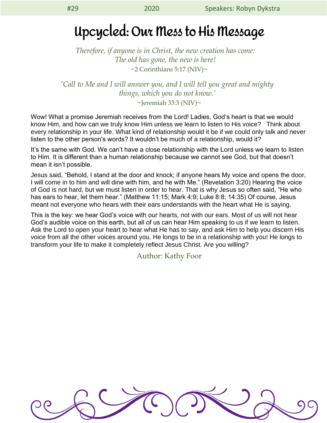### Upcycled: Our Mess to His Message

*Therefore, if anyone is in Christ, the new creation has come: The old has gone, the new is here!*  $\sim$ 2 Corinthians 5:17 (NIV) $\sim$ 

*'Call to Me and I will answer you, and I will tell you great and mighty things, which you do not know.'* 

 $\sim$ Jeremiah 33:3 (NIV) $\sim$ 

Wow! What a promise Jeremiah receives from the Lord! Ladies, God's heart is that we would know Him, and how can we truly know Him unless we learn to listen to His voice? Think about every relationship in your life. What kind of relationship would it be if we could only talk and never listen to the other person's words? It wouldn't be much of a relationship, would it?

It's the same with God. We can't have a close relationship with the Lord unless we learn to listen to Him. It is different than a human relationship because we cannot see God, but that doesn't mean it isn't possible.

Jesus said, "Behold, I stand at the door and knock; if anyone hears My voice and opens the door, I will come in to him and will dine with him, and he with Me." (Revelation 3:20) Hearing the voice of God is not hard, but we must listen in order to hear. That is why Jesus so often said, "He who has ears to hear, let them hear." (Matthew 11:15; Mark 4:9; Luke 8:8; 14:35) Of course, Jesus meant not everyone who hears with their ears understands with the heart what He is saying.

This is the key: we hear God's voice with our hearts, not with our ears. Most of us will not hear God's audible voice on this earth, but all of us can hear Him speaking to us if we learn to listen. Ask the Lord to open your heart to hear what He has to say, and ask Him to help you discern His voice from all the other voices around you. He longs to be in a relationship with you! He longs to transform your life to make it completely reflect Jesus Christ. Are you willing?